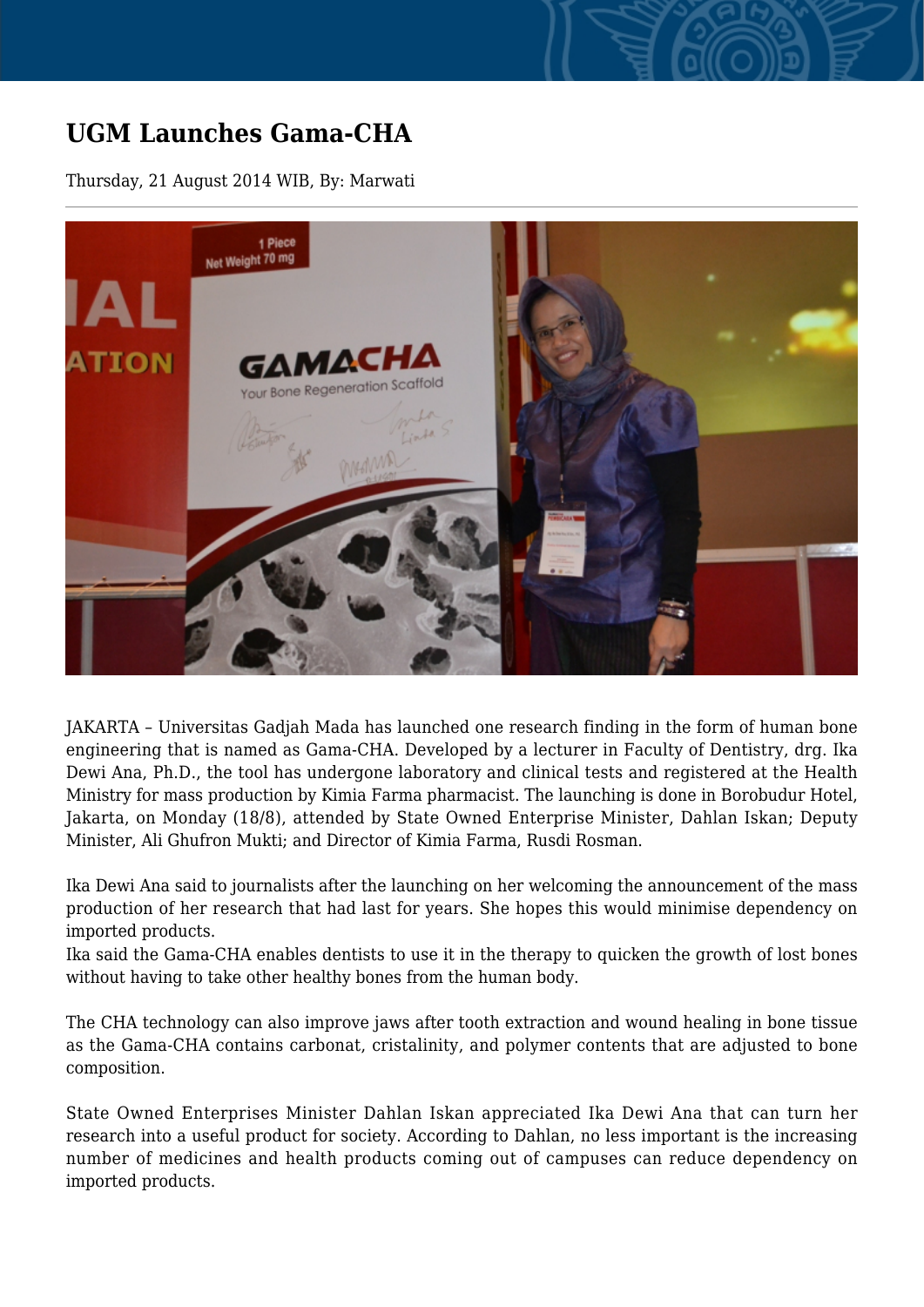## **UGM Launches Gama-CHA**

Thursday, 21 August 2014 WIB, By: Marwati



JAKARTA – Universitas Gadjah Mada has launched one research finding in the form of human bone engineering that is named as Gama-CHA. Developed by a lecturer in Faculty of Dentistry, drg. Ika Dewi Ana, Ph.D., the tool has undergone laboratory and clinical tests and registered at the Health Ministry for mass production by Kimia Farma pharmacist. The launching is done in Borobudur Hotel, Jakarta, on Monday (18/8), attended by State Owned Enterprise Minister, Dahlan Iskan; Deputy Minister, Ali Ghufron Mukti; and Director of Kimia Farma, Rusdi Rosman.

Ika Dewi Ana said to journalists after the launching on her welcoming the announcement of the mass production of her research that had last for years. She hopes this would minimise dependency on imported products.

Ika said the Gama-CHA enables dentists to use it in the therapy to quicken the growth of lost bones without having to take other healthy bones from the human body.

The CHA technology can also improve jaws after tooth extraction and wound healing in bone tissue as the Gama-CHA contains carbonat, cristalinity, and polymer contents that are adjusted to bone composition.

State Owned Enterprises Minister Dahlan Iskan appreciated Ika Dewi Ana that can turn her research into a useful product for society. According to Dahlan, no less important is the increasing number of medicines and health products coming out of campuses can reduce dependency on imported products.